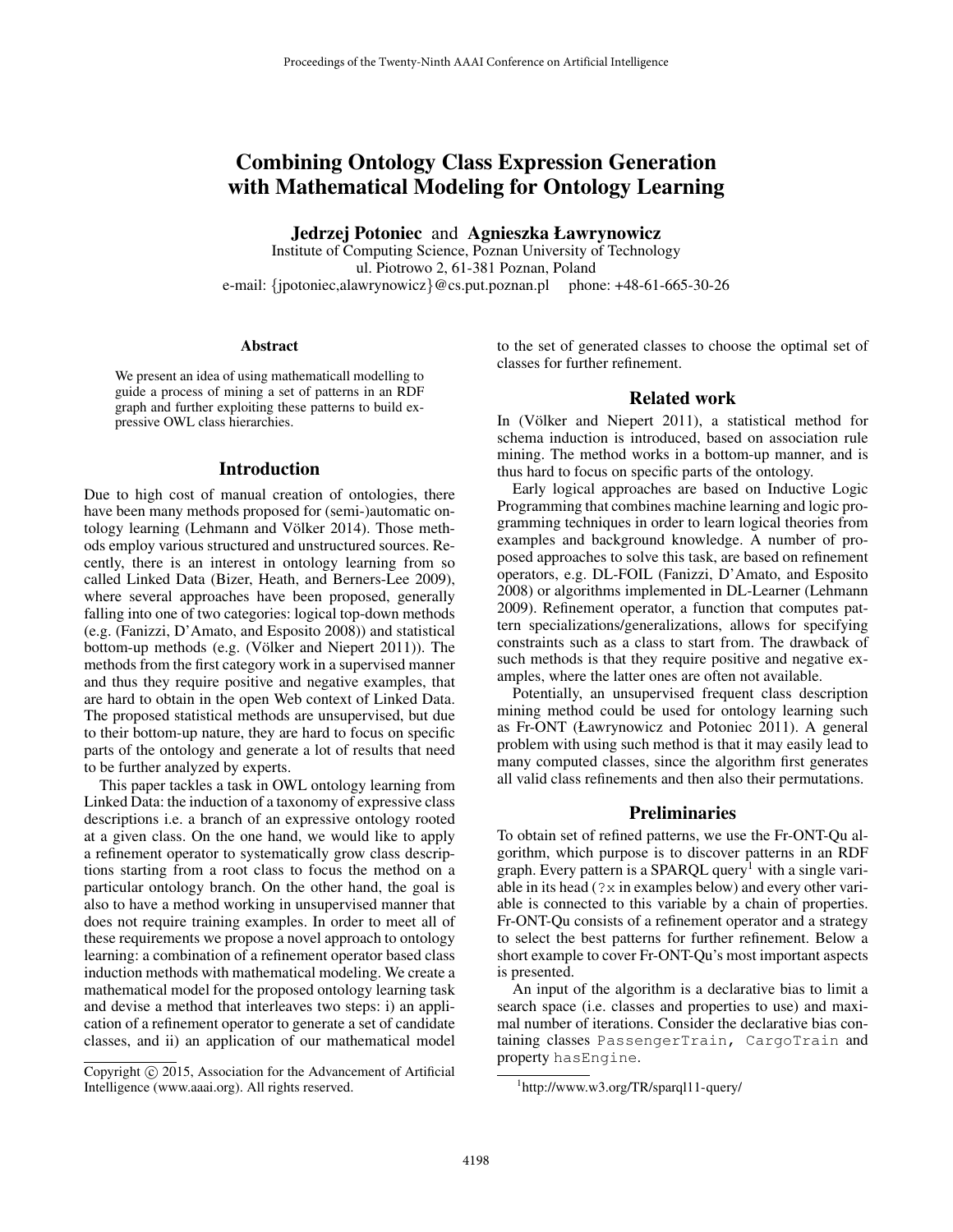# Combining Ontology Class Expression Generation with Mathematical Modeling for Ontology Learning

Jedrzej Potoniec and Agnieszka Ławrynowicz

Institute of Computing Science, Poznan University of Technology ul. Piotrowo 2, 61-381 Poznan, Poland e-mail: {jpotoniec,alawrynowicz}@cs.put.poznan.pl phone: +48-61-665-30-26

#### Abstract

We present an idea of using mathematicall modelling to guide a process of mining a set of patterns in an RDF graph and further exploiting these patterns to build expressive OWL class hierarchies.

#### Introduction

Due to high cost of manual creation of ontologies, there have been many methods proposed for (semi-)automatic ontology learning (Lehmann and Völker 2014). Those methods employ various structured and unstructured sources. Recently, there is an interest in ontology learning from so called Linked Data (Bizer, Heath, and Berners-Lee 2009), where several approaches have been proposed, generally falling into one of two categories: logical top-down methods (e.g. (Fanizzi, D'Amato, and Esposito 2008)) and statistical bottom-up methods (e.g. (Völker and Niepert  $2011$ )). The methods from the first category work in a supervised manner and thus they require positive and negative examples, that are hard to obtain in the open Web context of Linked Data. The proposed statistical methods are unsupervised, but due to their bottom-up nature, they are hard to focus on specific parts of the ontology and generate a lot of results that need to be further analyzed by experts.

This paper tackles a task in OWL ontology learning from Linked Data: the induction of a taxonomy of expressive class descriptions i.e. a branch of an expressive ontology rooted at a given class. On the one hand, we would like to apply a refinement operator to systematically grow class descriptions starting from a root class to focus the method on a particular ontology branch. On the other hand, the goal is also to have a method working in unsupervised manner that does not require training examples. In order to meet all of these requirements we propose a novel approach to ontology learning: a combination of a refinement operator based class induction methods with mathematical modeling. We create a mathematical model for the proposed ontology learning task and devise a method that interleaves two steps: i) an application of a refinement operator to generate a set of candidate classes, and ii) an application of our mathematical model to the set of generated classes to choose the optimal set of classes for further refinement.

#### Related work

In (Völker and Niepert 2011), a statistical method for schema induction is introduced, based on association rule mining. The method works in a bottom-up manner, and is thus hard to focus on specific parts of the ontology.

Early logical approaches are based on Inductive Logic Programming that combines machine learning and logic programming techniques in order to learn logical theories from examples and background knowledge. A number of proposed approaches to solve this task, are based on refinement operators, e.g. DL-FOIL (Fanizzi, D'Amato, and Esposito 2008) or algorithms implemented in DL-Learner (Lehmann 2009). Refinement operator, a function that computes pattern specializations/generalizations, allows for specifying constraints such as a class to start from. The drawback of such methods is that they require positive and negative examples, where the latter ones are often not available.

Potentially, an unsupervised frequent class description mining method could be used for ontology learning such as Fr-ONT (Ławrynowicz and Potoniec 2011). A general problem with using such method is that it may easily lead to many computed classes, since the algorithm first generates all valid class refinements and then also their permutations.

#### **Preliminaries**

To obtain set of refined patterns, we use the Fr-ONT-Qu algorithm, which purpose is to discover patterns in an RDF graph. Every pattern is a SPARQL query<sup>1</sup> with a single variable in its head  $(2x$  in examples below) and every other variable is connected to this variable by a chain of properties. Fr-ONT-Qu consists of a refinement operator and a strategy to select the best patterns for further refinement. Below a short example to cover Fr-ONT-Qu's most important aspects is presented.

An input of the algorithm is a declarative bias to limit a search space (i.e. classes and properties to use) and maximal number of iterations. Consider the declarative bias containing classes PassengerTrain, CargoTrain and property hasEngine.

Copyright (c) 2015, Association for the Advancement of Artificial Intelligence (www.aaai.org). All rights reserved.

<sup>1</sup> http://www.w3.org/TR/sparql11-query/